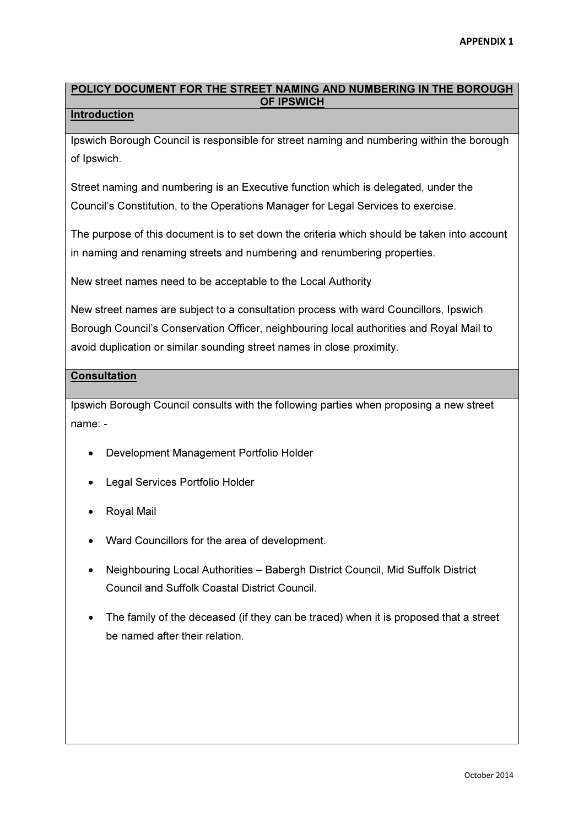# POLICY DOCUMENT FOR THE STREET NAMING AND NUMBERING IN THE BOROUGH OF IPSWICH

#### Introduction

Ipswich Borough Council is responsible for street naming and numbering within the borough of Ipswich.

Street naming and numbering is an Executive function which is delegated, under the Council's Constitution, to the Operations Manager for Legal Services to exercise.

The purpose of this document is to set down the criteria which should be taken into account in naming and renaming streets and numbering and renumbering properties.

New street names need to be acceptable to the Local Authority

New street names are subject to a consultation process with ward Councillors, Ipswich Borough Council's Conservation Officer, neighbouring local authorities and Royal Mail to avoid duplication or similar sounding street names in close proximity.

## **Consultation**

Ipswich Borough Council consults with the following parties when proposing a new street name: -

- Development Management Portfolio Holder
- Legal Services Portfolio Holder
- Royal Mail
- Ward Councillors for the area of development.
- Neighbouring Local Authorities Babergh District Council, Mid Suffolk District Council and Suffolk Coastal District Council.
- The family of the deceased (if they can be traced) when it is proposed that a street be named after their relation.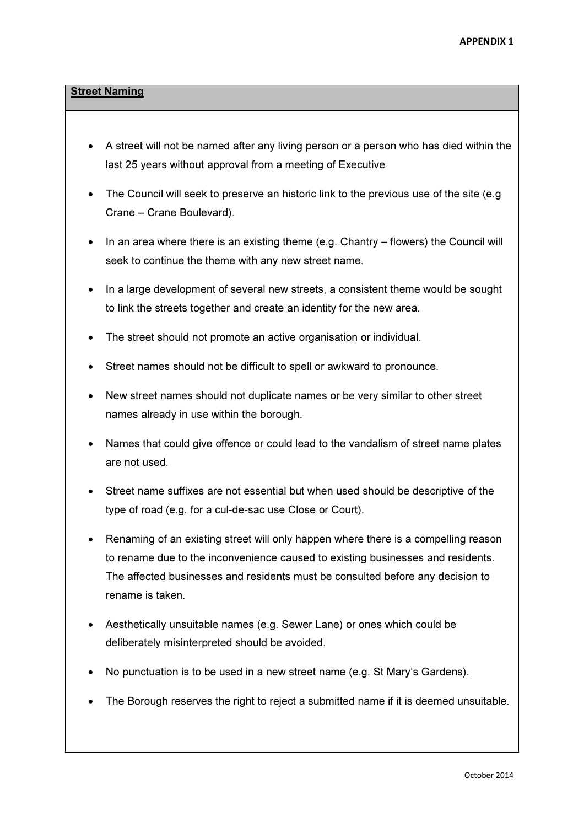## **Street Naming**

- A street will not be named after any living person or a person who has died within the last 25 years without approval from a meeting of Executive
- The Council will seek to preserve an historic link to the previous use of the site (e.g. Crane – Crane Boulevard).
- In an area where there is an existing theme (e.g. Chantry flowers) the Council will seek to continue the theme with any new street name.
- In a large development of several new streets, a consistent theme would be sought to link the streets together and create an identity for the new area.
- The street should not promote an active organisation or individual.
- Street names should not be difficult to spell or awkward to pronounce.
- New street names should not duplicate names or be very similar to other street names already in use within the borough.
- Names that could give offence or could lead to the vandalism of street name plates are not used.
- Street name suffixes are not essential but when used should be descriptive of the type of road (e.g. for a cul-de-sac use Close or Court).
- Renaming of an existing street will only happen where there is a compelling reason to rename due to the inconvenience caused to existing businesses and residents. The affected businesses and residents must be consulted before any decision to rename is taken.
- Aesthetically unsuitable names (e.g. Sewer Lane) or ones which could be deliberately misinterpreted should be avoided.
- No punctuation is to be used in a new street name (e.g. St Mary's Gardens).
- The Borough reserves the right to reject a submitted name if it is deemed unsuitable.